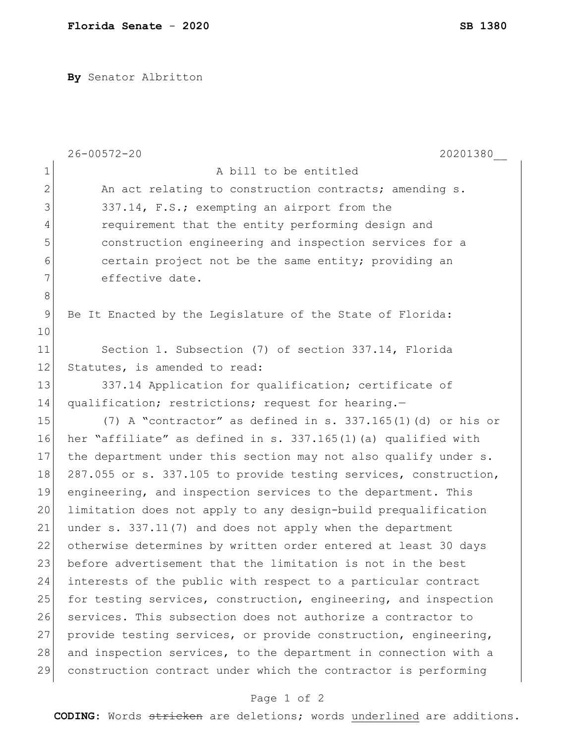**By** Senator Albritton

|                | $26 - 00572 - 20$<br>20201380                                    |
|----------------|------------------------------------------------------------------|
| $\mathbf 1$    | A bill to be entitled                                            |
| $\overline{2}$ | An act relating to construction contracts; amending s.           |
| 3              | 337.14, F.S.; exempting an airport from the                      |
| 4              | requirement that the entity performing design and                |
| 5              | construction engineering and inspection services for a           |
| 6              | certain project not be the same entity; providing an             |
| 7              | effective date.                                                  |
| 8              |                                                                  |
| 9              | Be It Enacted by the Legislature of the State of Florida:        |
| 10             |                                                                  |
| 11             | Section 1. Subsection (7) of section 337.14, Florida             |
| 12             | Statutes, is amended to read:                                    |
| 13             | 337.14 Application for qualification; certificate of             |
| 14             | qualification; restrictions; request for hearing.-               |
| 15             | (7) A "contractor" as defined in s. 337.165(1)(d) or his or      |
| 16             | her "affiliate" as defined in s. 337.165(1)(a) qualified with    |
| 17             | the department under this section may not also qualify under s.  |
| 18             | 287.055 or s. 337.105 to provide testing services, construction, |
| 19             | engineering, and inspection services to the department. This     |
| 20             | limitation does not apply to any design-build prequalification   |
| 21             | under s. 337.11(7) and does not apply when the department        |
| 22             | otherwise determines by written order entered at least 30 days   |
| 23             | before advertisement that the limitation is not in the best      |
| 24             | interests of the public with respect to a particular contract    |
| 25             | for testing services, construction, engineering, and inspection  |
| 26             | services. This subsection does not authorize a contractor to     |
| 27             | provide testing services, or provide construction, engineering,  |
| 28             | and inspection services, to the department in connection with a  |
| 29             | construction contract under which the contractor is performing   |

## Page 1 of 2

**CODING**: Words stricken are deletions; words underlined are additions.